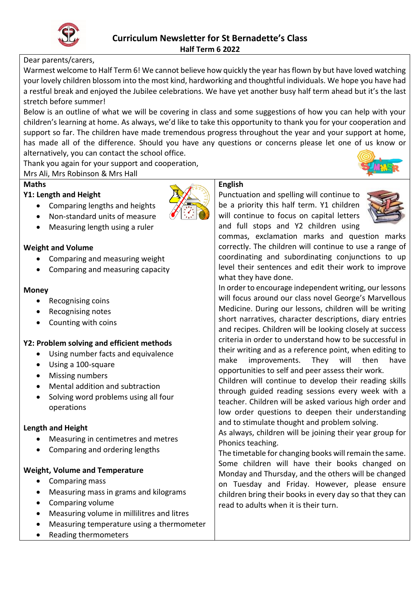

# Dear parents/carers,

Warmest welcome to Half Term 6! We cannot believe how quickly the year has flown by but have loved watching your lovely children blossom into the most kind, hardworking and thoughtful individuals. We hope you have had a restful break and enjoyed the Jubilee celebrations. We have yet another busy half term ahead but it's the last stretch before summer!

Below is an outline of what we will be covering in class and some suggestions of how you can help with your children's learning at home. As always, we'd like to take this opportunity to thank you for your cooperation and support so far. The children have made tremendous progress throughout the year and your support at home, has made all of the difference. Should you have any questions or concerns please let one of us know or alternatively, you can contact the school office.

Thank you again for your support and cooperation,

Mrs Ali, Mrs Robinson & Mrs Hall

## **Maths**

## **Y1: Length and Height**

Comparing lengths and heights



Measuring length using a ruler

#### **Weight and Volume**

- Comparing and measuring weight
- Comparing and measuring capacity

#### **Money**

- Recognising coins
- Recognising notes
- Counting with coins

# **Y2: Problem solving and efficient methods**

- Using number facts and equivalence
- Using a 100-square
- Missing numbers
- Mental addition and subtraction
- Solving word problems using all four operations

#### **Length and Height**

- Measuring in centimetres and metres
- Comparing and ordering lengths

#### **Weight, Volume and Temperature**

- Comparing mass
- Measuring mass in grams and kilograms
- Comparing volume
- Measuring volume in millilitres and litres
- Measuring temperature using a thermometer
- Reading thermometers

#### **English**

Punctuation and spelling will continue to be a priority this half term. Y1 children will continue to focus on capital letters and full stops and Y2 children using



commas, exclamation marks and question marks correctly. The children will continue to use a range of coordinating and subordinating conjunctions to up level their sentences and edit their work to improve what they have done.

In order to encourage independent writing, our lessons will focus around our class novel George's Marvellous Medicine. During our lessons, children will be writing short narratives, character descriptions, diary entries and recipes. Children will be looking closely at success criteria in order to understand how to be successful in their writing and as a reference point, when editing to make improvements. They will then have opportunities to self and peer assess their work.

Children will continue to develop their reading skills through guided reading sessions every week with a teacher. Children will be asked various high order and low order questions to deepen their understanding and to stimulate thought and problem solving.

As always, children will be joining their year group for Phonics teaching.

The timetable for changing books will remain the same. Some children will have their books changed on Monday and Thursday, and the others will be changed on Tuesday and Friday. However, please ensure children bring their books in every day so that they can read to adults when it is their turn.

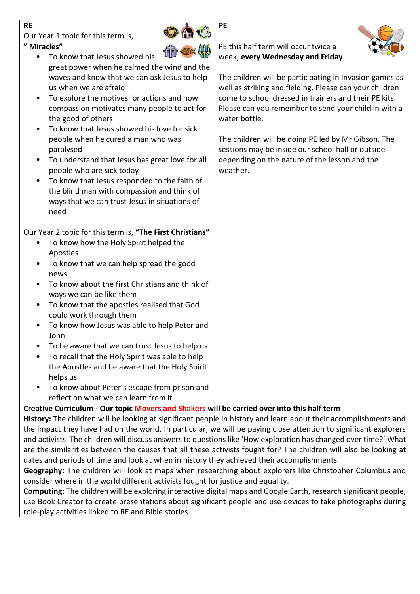# **RE**

Our Year 1 topic for this term is, **" Miracles"**



**PE**

- To know that Jesus showed his great power when he calmed the wind and the waves and know that we can ask Jesus to help us when we are afraid
- To explore the motives for actions and how compassion motivates many people to act for the good of others
- To know that Jesus showed his love for sick people when he cured a man who was paralysed
- To understand that Jesus has great love for all people who are sick today
- To know that Jesus responded to the faith of the blind man with compassion and think of ways that we can trust Jesus in situations of need

Our Year 2 topic for this term is, **"The First Christians"**

- To know how the Holy Spirit helped the Apostles
- To know that we can help spread the good news
- To know about the first Christians and think of ways we can be like them
- To know that the apostles realised that God could work through them
- To know how Jesus was able to help Peter and John
- To be aware that we can trust Jesus to help us
- To recall that the Holy Spirit was able to help the Apostles and be aware that the Holy Spirit helps us
- To know about Peter's escape from prison and reflect on what we can learn from it

**Creative Curriculum - Our topic Movers and Shakers will be carried over into this half term**

**History:** The children will be looking at significant people in history and learn about their accomplishments and the impact they have had on the world. In particular, we will be paying close attention to significant explorers and activists. The children will discuss answers to questions like 'How exploration has changed over time?' What are the similarities between the causes that all these activists fought for? The children will also be looking at dates and periods of time and look at when in history they achieved their accomplishments.

**Geography:** The children will look at maps when researching about explorers like Christopher Columbus and consider where in the world different activists fought for justice and equality.

**Computing:** The children will be exploring interactive digital maps and Google Earth, research significant people, use Book Creator to create presentations about significant people and use devices to take photographs during role-play activities linked to RE and Bible stories.

PE this half term will occur twice a week, **every Wednesday and Friday**.



The children will be participating in Invasion games as well as striking and fielding. Please can your children come to school dressed in trainers and their PE kits. Please can you remember to send your child in with a water bottle.

The children will be doing PE led by Mr Gibson. The sessions may be inside our school hall or outside depending on the nature of the lesson and the weather.